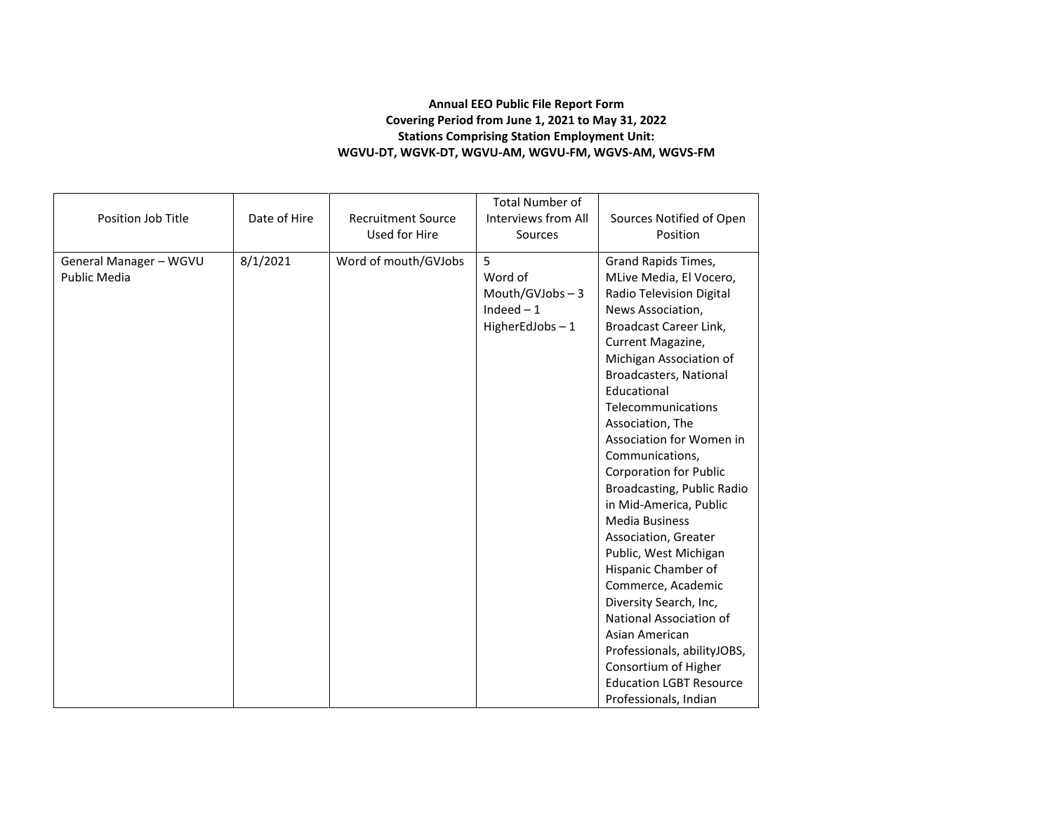## **Annual EEO Public File Report Form Covering Period from June 1, 2021 to May 31, 2022 Stations Comprising Station Employment Unit: WGVU-DT, WGVK-DT, WGVU-AM, WGVU-FM, WGVS-AM, WGVS-FM**

| Position Job Title                            | Date of Hire | <b>Recruitment Source</b><br>Used for Hire | <b>Total Number of</b><br>Interviews from All<br>Sources           | Sources Notified of Open<br>Position                                                                                                                                                                                                                                                                                                                                                                                                                                                                                                                                                                                                                                                                                 |
|-----------------------------------------------|--------------|--------------------------------------------|--------------------------------------------------------------------|----------------------------------------------------------------------------------------------------------------------------------------------------------------------------------------------------------------------------------------------------------------------------------------------------------------------------------------------------------------------------------------------------------------------------------------------------------------------------------------------------------------------------------------------------------------------------------------------------------------------------------------------------------------------------------------------------------------------|
| General Manager - WGVU<br><b>Public Media</b> | 8/1/2021     | Word of mouth/GVJobs                       | 5<br>Word of<br>Mouth/GVJobs $-3$<br>Indeed $-1$<br>HigherEdJobs-1 | Grand Rapids Times,<br>MLive Media, El Vocero,<br>Radio Television Digital<br>News Association,<br>Broadcast Career Link,<br>Current Magazine,<br>Michigan Association of<br>Broadcasters, National<br>Educational<br>Telecommunications<br>Association, The<br>Association for Women in<br>Communications,<br><b>Corporation for Public</b><br>Broadcasting, Public Radio<br>in Mid-America, Public<br><b>Media Business</b><br>Association, Greater<br>Public, West Michigan<br>Hispanic Chamber of<br>Commerce, Academic<br>Diversity Search, Inc,<br>National Association of<br>Asian American<br>Professionals, abilityJOBS,<br>Consortium of Higher<br><b>Education LGBT Resource</b><br>Professionals, Indian |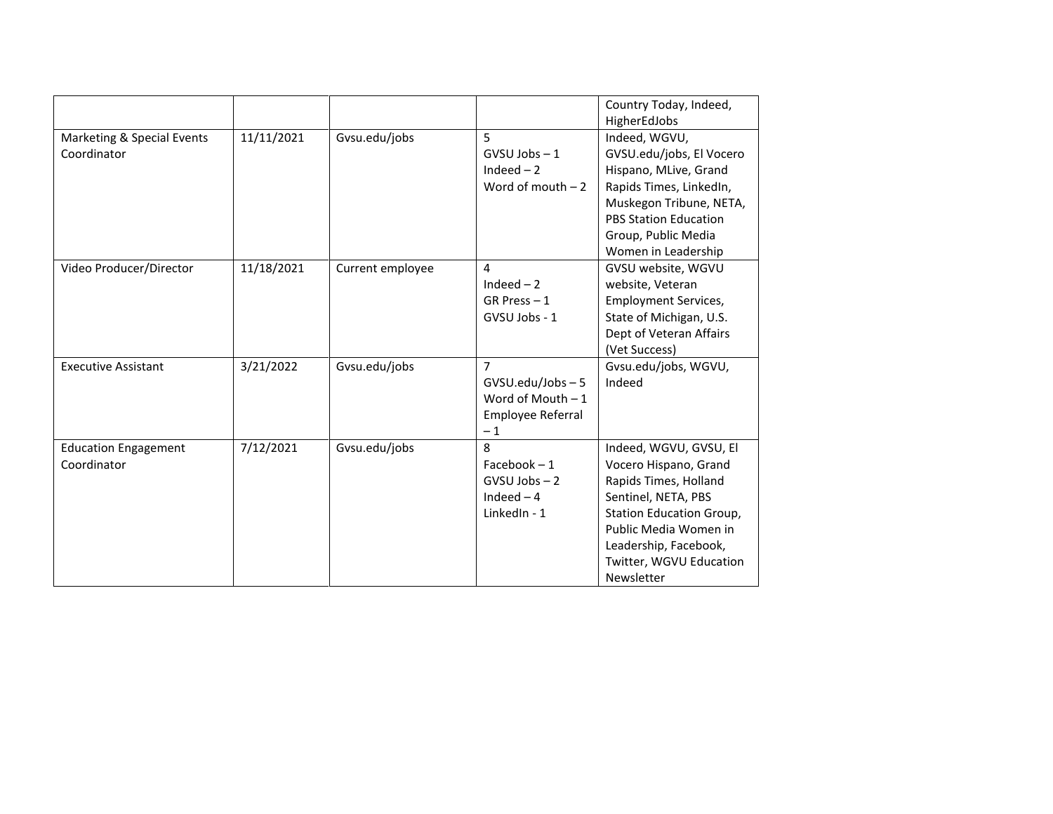|                                            |            |                  |                                                                           | Country Today, Indeed,<br>HigherEdJobs                                                                                                                                                                                 |
|--------------------------------------------|------------|------------------|---------------------------------------------------------------------------|------------------------------------------------------------------------------------------------------------------------------------------------------------------------------------------------------------------------|
| Marketing & Special Events<br>Coordinator  | 11/11/2021 | Gvsu.edu/jobs    | 5<br>$GVSU$ Jobs $-1$<br>Indeed $-2$<br>Word of mouth $-2$                | Indeed, WGVU,<br>GVSU.edu/jobs, El Vocero<br>Hispano, MLive, Grand<br>Rapids Times, LinkedIn,<br>Muskegon Tribune, NETA,<br><b>PBS Station Education</b><br>Group, Public Media<br>Women in Leadership                 |
| Video Producer/Director                    | 11/18/2021 | Current employee | 4<br>Indeed $-2$<br>$GR$ Press $-1$<br>GVSU Jobs - 1                      | GVSU website, WGVU<br>website, Veteran<br><b>Employment Services,</b><br>State of Michigan, U.S.<br>Dept of Veteran Affairs<br>(Vet Success)                                                                           |
| <b>Executive Assistant</b>                 | 3/21/2022  | Gvsu.edu/jobs    | 7<br>$GVSU.edu/Jobs-5$<br>Word of Mouth $-1$<br>Employee Referral<br>$-1$ | Gvsu.edu/jobs, WGVU,<br>Indeed                                                                                                                                                                                         |
| <b>Education Engagement</b><br>Coordinator | 7/12/2021  | Gvsu.edu/jobs    | 8<br>$Facebook - 1$<br>$GVSU$ Jobs $-2$<br>Indeed $-4$<br>LinkedIn - 1    | Indeed, WGVU, GVSU, El<br>Vocero Hispano, Grand<br>Rapids Times, Holland<br>Sentinel, NETA, PBS<br>Station Education Group,<br>Public Media Women in<br>Leadership, Facebook,<br>Twitter, WGVU Education<br>Newsletter |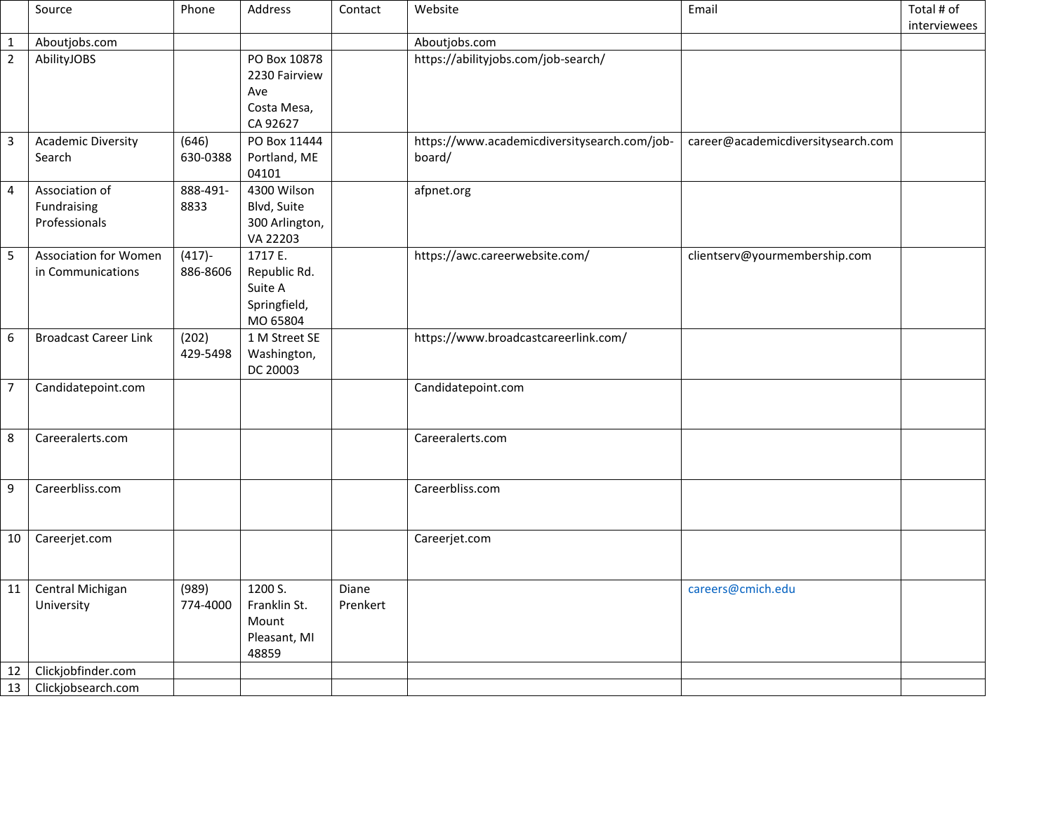|                  | Source                                            | Phone                 | Address                                                         | Contact           | Website                                                | Email                              | Total # of<br>interviewees |
|------------------|---------------------------------------------------|-----------------------|-----------------------------------------------------------------|-------------------|--------------------------------------------------------|------------------------------------|----------------------------|
| $\mathbf 1$      | Aboutjobs.com                                     |                       |                                                                 |                   | Aboutjobs.com                                          |                                    |                            |
| $\overline{2}$   | AbilityJOBS                                       |                       | PO Box 10878<br>2230 Fairview<br>Ave<br>Costa Mesa,<br>CA 92627 |                   | https://abilityjobs.com/job-search/                    |                                    |                            |
| $\overline{3}$   | <b>Academic Diversity</b><br>Search               | (646)<br>630-0388     | PO Box 11444<br>Portland, ME<br>04101                           |                   | https://www.academicdiversitysearch.com/job-<br>board/ | career@academicdiversitysearch.com |                            |
| $\overline{4}$   | Association of<br>Fundraising<br>Professionals    | 888-491-<br>8833      | 4300 Wilson<br>Blvd, Suite<br>300 Arlington,<br>VA 22203        |                   | afpnet.org                                             |                                    |                            |
| 5                | <b>Association for Women</b><br>in Communications | $(417) -$<br>886-8606 | 1717 E.<br>Republic Rd.<br>Suite A<br>Springfield,<br>MO 65804  |                   | https://awc.careerwebsite.com/                         | clientserv@yourmembership.com      |                            |
| $\boldsymbol{6}$ | <b>Broadcast Career Link</b>                      | (202)<br>429-5498     | 1 M Street SE<br>Washington,<br>DC 20003                        |                   | https://www.broadcastcareerlink.com/                   |                                    |                            |
| $\overline{7}$   | Candidatepoint.com                                |                       |                                                                 |                   | Candidatepoint.com                                     |                                    |                            |
| 8                | Careeralerts.com                                  |                       |                                                                 |                   | Careeralerts.com                                       |                                    |                            |
| $\boldsymbol{9}$ | Careerbliss.com                                   |                       |                                                                 |                   | Careerbliss.com                                        |                                    |                            |
| 10               | Careerjet.com                                     |                       |                                                                 |                   | Careerjet.com                                          |                                    |                            |
| 11               | Central Michigan<br>University                    | (989)<br>774-4000     | 1200 S.<br>Franklin St.<br>Mount<br>Pleasant, MI<br>48859       | Diane<br>Prenkert |                                                        | careers@cmich.edu                  |                            |
| 12               | Clickjobfinder.com                                |                       |                                                                 |                   |                                                        |                                    |                            |
| 13               | Clickjobsearch.com                                |                       |                                                                 |                   |                                                        |                                    |                            |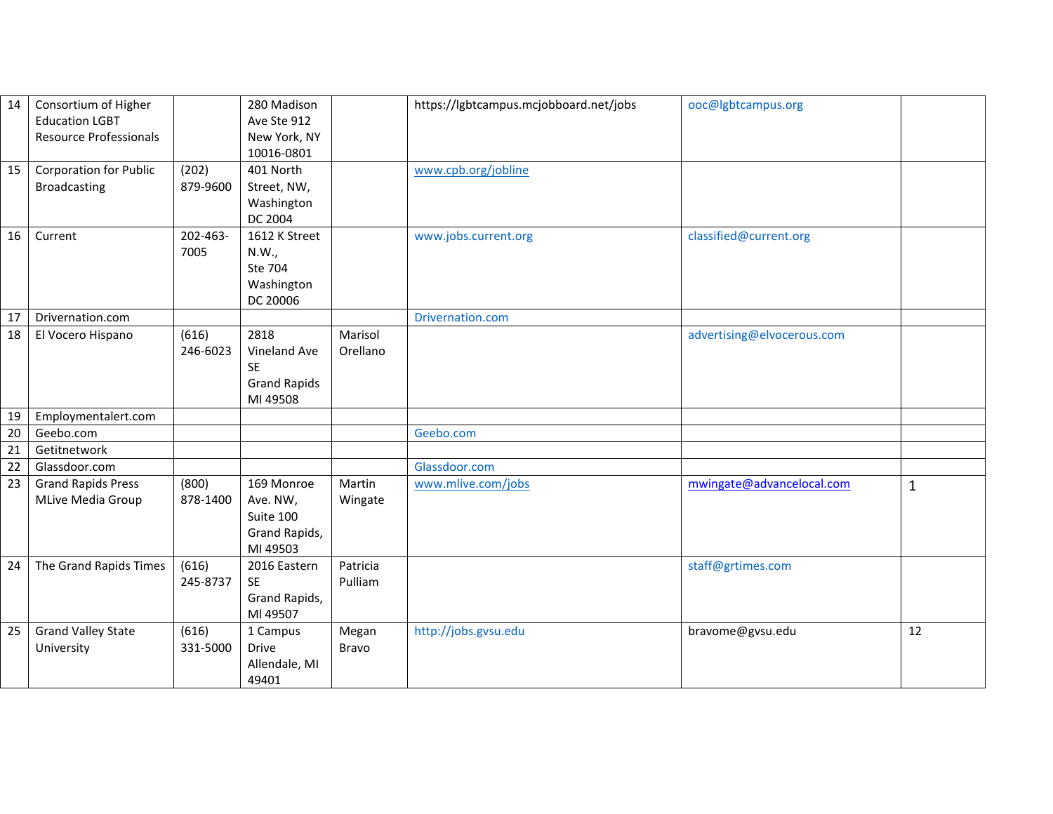| 14 | Consortium of Higher<br><b>Education LGBT</b><br><b>Resource Professionals</b> |          | 280 Madison<br>Ave Ste 912<br>New York, NY |          | https://lgbtcampus.mcjobboard.net/jobs | ooc@lgbtcampus.org         |    |
|----|--------------------------------------------------------------------------------|----------|--------------------------------------------|----------|----------------------------------------|----------------------------|----|
|    |                                                                                |          | 10016-0801                                 |          |                                        |                            |    |
| 15 | Corporation for Public                                                         | (202)    | 401 North                                  |          | www.cpb.org/jobline                    |                            |    |
|    | <b>Broadcasting</b>                                                            | 879-9600 | Street, NW,                                |          |                                        |                            |    |
|    |                                                                                |          | Washington                                 |          |                                        |                            |    |
|    |                                                                                |          | DC 2004                                    |          |                                        |                            |    |
| 16 | Current                                                                        | 202-463- | 1612 K Street                              |          | www.jobs.current.org                   | classified@current.org     |    |
|    |                                                                                | 7005     | N.W.,                                      |          |                                        |                            |    |
|    |                                                                                |          | Ste 704                                    |          |                                        |                            |    |
|    |                                                                                |          | Washington<br>DC 20006                     |          |                                        |                            |    |
| 17 | Drivernation.com                                                               |          |                                            |          | Drivernation.com                       |                            |    |
| 18 | El Vocero Hispano                                                              | (616)    | 2818                                       | Marisol  |                                        | advertising@elvocerous.com |    |
|    |                                                                                | 246-6023 | Vineland Ave                               | Orellano |                                        |                            |    |
|    |                                                                                |          | <b>SE</b>                                  |          |                                        |                            |    |
|    |                                                                                |          | <b>Grand Rapids</b>                        |          |                                        |                            |    |
|    |                                                                                |          | MI 49508                                   |          |                                        |                            |    |
| 19 | Employmentalert.com                                                            |          |                                            |          |                                        |                            |    |
| 20 | Geebo.com                                                                      |          |                                            |          | Geebo.com                              |                            |    |
| 21 | Getitnetwork                                                                   |          |                                            |          |                                        |                            |    |
| 22 | Glassdoor.com                                                                  |          |                                            |          | Glassdoor.com                          |                            |    |
| 23 | <b>Grand Rapids Press</b>                                                      | (800)    | 169 Monroe                                 | Martin   | www.mlive.com/jobs                     | mwingate@advancelocal.com  | 1  |
|    | MLive Media Group                                                              | 878-1400 | Ave. NW,<br>Suite 100                      | Wingate  |                                        |                            |    |
|    |                                                                                |          | Grand Rapids,                              |          |                                        |                            |    |
|    |                                                                                |          | MI 49503                                   |          |                                        |                            |    |
| 24 | The Grand Rapids Times                                                         | (616)    | 2016 Eastern                               | Patricia |                                        | staff@grtimes.com          |    |
|    |                                                                                | 245-8737 | <b>SE</b>                                  | Pulliam  |                                        |                            |    |
|    |                                                                                |          | Grand Rapids,                              |          |                                        |                            |    |
|    |                                                                                |          | MI 49507                                   |          |                                        |                            |    |
| 25 | <b>Grand Valley State</b>                                                      | (616)    | 1 Campus                                   | Megan    | http://jobs.gvsu.edu                   | bravome@gvsu.edu           | 12 |
|    | University                                                                     | 331-5000 | <b>Drive</b>                               | Bravo    |                                        |                            |    |
|    |                                                                                |          | Allendale, MI                              |          |                                        |                            |    |
|    |                                                                                |          |                                            |          |                                        |                            |    |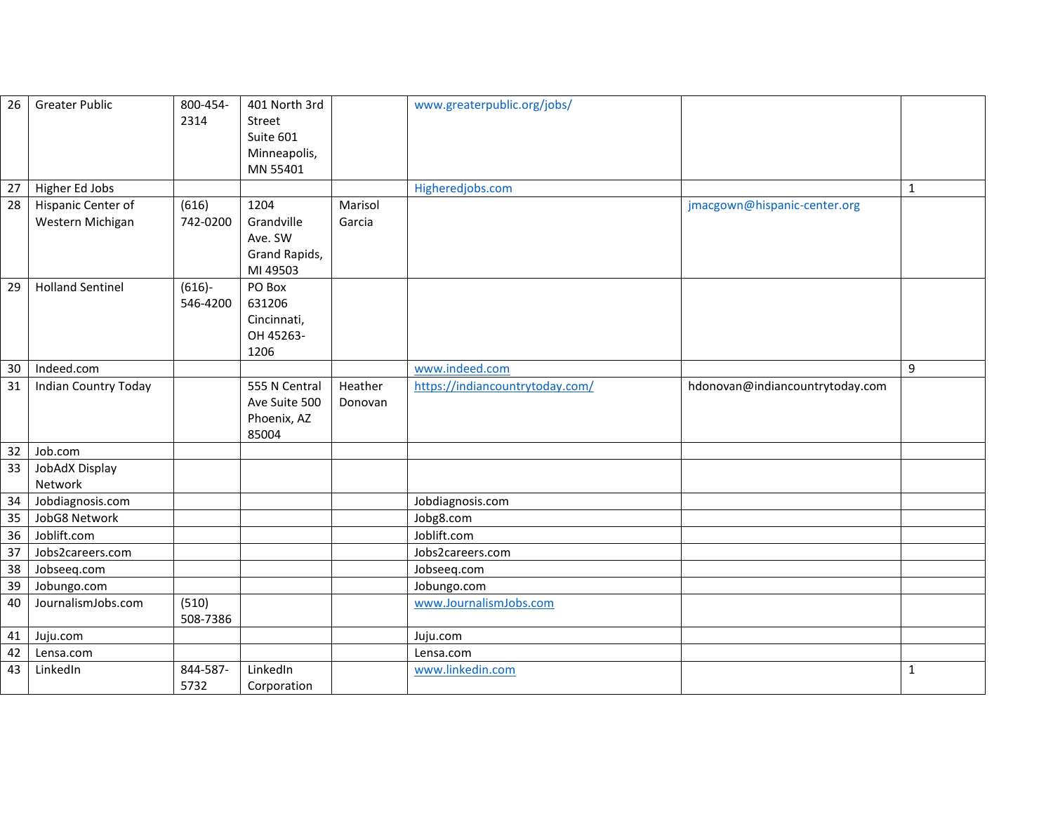| 26              | <b>Greater Public</b>       | 800-454-<br>2314  | 401 North 3rd<br>Street |         | www.greaterpublic.org/jobs/     |                                 |              |
|-----------------|-----------------------------|-------------------|-------------------------|---------|---------------------------------|---------------------------------|--------------|
|                 |                             |                   | Suite 601               |         |                                 |                                 |              |
|                 |                             |                   | Minneapolis,            |         |                                 |                                 |              |
|                 |                             |                   | MN 55401                |         |                                 |                                 |              |
| 27              | Higher Ed Jobs              |                   |                         |         | Higheredjobs.com                |                                 | $\mathbf{1}$ |
| 28              | Hispanic Center of          | (616)             | 1204                    | Marisol |                                 | jmacgown@hispanic-center.org    |              |
|                 | Western Michigan            | 742-0200          | Grandville              | Garcia  |                                 |                                 |              |
|                 |                             |                   | Ave. SW                 |         |                                 |                                 |              |
|                 |                             |                   | Grand Rapids,           |         |                                 |                                 |              |
|                 |                             |                   | MI 49503                |         |                                 |                                 |              |
| 29              | <b>Holland Sentinel</b>     | $(616)-$          | PO Box                  |         |                                 |                                 |              |
|                 |                             | 546-4200          | 631206                  |         |                                 |                                 |              |
|                 |                             |                   | Cincinnati,             |         |                                 |                                 |              |
|                 |                             |                   | OH 45263-               |         |                                 |                                 |              |
|                 |                             |                   | 1206                    |         |                                 |                                 |              |
| 30              | Indeed.com                  |                   |                         |         | www.indeed.com                  |                                 | 9            |
| 31              | <b>Indian Country Today</b> |                   | 555 N Central           | Heather | https://indiancountrytoday.com/ | hdonovan@indiancountrytoday.com |              |
|                 |                             |                   | Ave Suite 500           | Donovan |                                 |                                 |              |
|                 |                             |                   | Phoenix, AZ             |         |                                 |                                 |              |
|                 |                             |                   | 85004                   |         |                                 |                                 |              |
| 32 <sup>2</sup> | Job.com                     |                   |                         |         |                                 |                                 |              |
| 33              | JobAdX Display              |                   |                         |         |                                 |                                 |              |
|                 | Network                     |                   |                         |         |                                 |                                 |              |
| 34              | Jobdiagnosis.com            |                   |                         |         | Jobdiagnosis.com                |                                 |              |
| 35              | JobG8 Network               |                   |                         |         | Jobg8.com                       |                                 |              |
| 36              | Joblift.com                 |                   |                         |         | Joblift.com                     |                                 |              |
| 37              | Jobs2careers.com            |                   |                         |         | Jobs2careers.com                |                                 |              |
| 38              | Jobseeq.com                 |                   |                         |         | Jobseeq.com                     |                                 |              |
| 39              | Jobungo.com                 |                   |                         |         | Jobungo.com                     |                                 |              |
| 40              | JournalismJobs.com          | (510)<br>508-7386 |                         |         | www.JournalismJobs.com          |                                 |              |
| 41              | Juju.com                    |                   |                         |         | Juju.com                        |                                 |              |
| 42              | Lensa.com                   |                   |                         |         | Lensa.com                       |                                 |              |
| 43              | LinkedIn                    | 844-587-          | LinkedIn                |         | www.linkedin.com                |                                 | 1            |
|                 |                             | 5732              | Corporation             |         |                                 |                                 |              |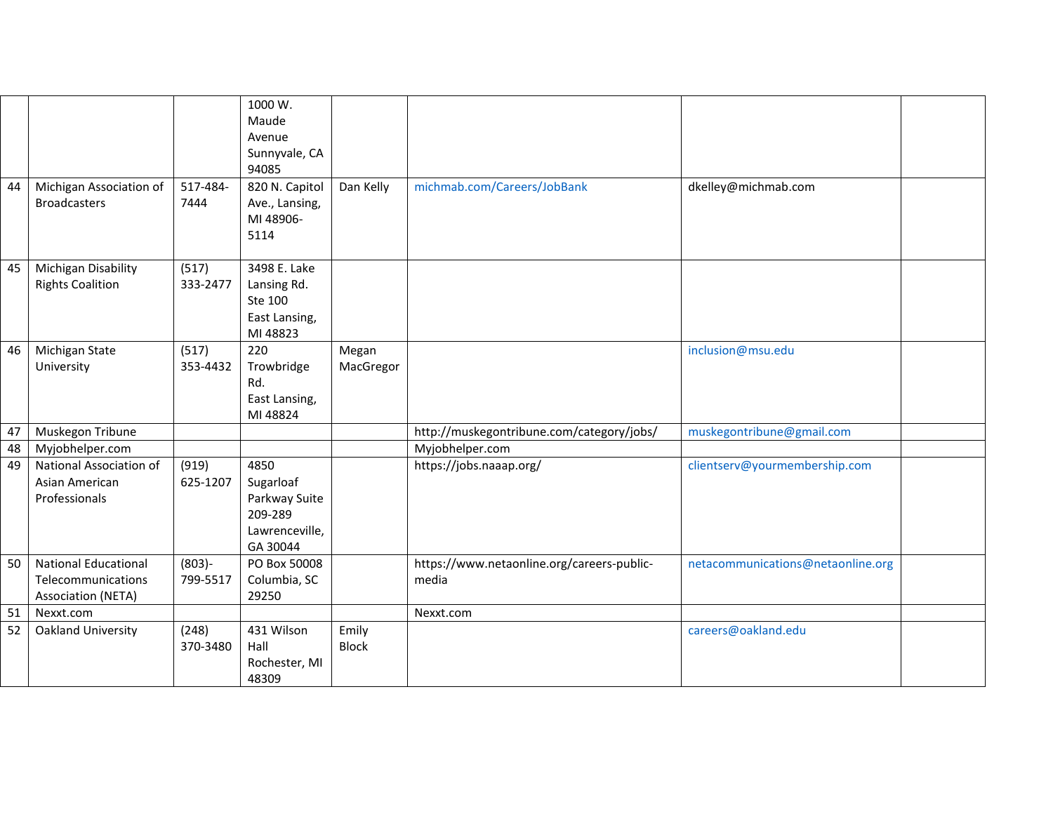|    |                              |                   | 1000 W.<br>Maude           |                    |                                            |                                   |  |
|----|------------------------------|-------------------|----------------------------|--------------------|--------------------------------------------|-----------------------------------|--|
|    |                              |                   | Avenue                     |                    |                                            |                                   |  |
|    |                              |                   | Sunnyvale, CA              |                    |                                            |                                   |  |
|    |                              |                   | 94085                      |                    |                                            |                                   |  |
| 44 | Michigan Association of      | 517-484-          | 820 N. Capitol             | Dan Kelly          | michmab.com/Careers/JobBank                | dkelley@michmab.com               |  |
|    | <b>Broadcasters</b>          | 7444              | Ave., Lansing,             |                    |                                            |                                   |  |
|    |                              |                   | MI 48906-                  |                    |                                            |                                   |  |
|    |                              |                   | 5114                       |                    |                                            |                                   |  |
| 45 | Michigan Disability          | (517)             | 3498 E. Lake               |                    |                                            |                                   |  |
|    | <b>Rights Coalition</b>      | 333-2477          | Lansing Rd.                |                    |                                            |                                   |  |
|    |                              |                   | Ste 100                    |                    |                                            |                                   |  |
|    |                              |                   | East Lansing,              |                    |                                            |                                   |  |
|    |                              |                   | MI 48823                   |                    |                                            |                                   |  |
| 46 | Michigan State<br>University | (517)<br>353-4432 | 220<br>Trowbridge          | Megan<br>MacGregor |                                            | inclusion@msu.edu                 |  |
|    |                              |                   | Rd.                        |                    |                                            |                                   |  |
|    |                              |                   | East Lansing,              |                    |                                            |                                   |  |
|    |                              |                   | MI 48824                   |                    |                                            |                                   |  |
| 47 | Muskegon Tribune             |                   |                            |                    | http://muskegontribune.com/category/jobs/  | muskegontribune@gmail.com         |  |
| 48 | Myjobhelper.com              |                   |                            |                    | Myjobhelper.com                            |                                   |  |
| 49 | National Association of      | (919)             | 4850                       |                    | https://jobs.naaap.org/                    | clientserv@yourmembership.com     |  |
|    | Asian American               | 625-1207          | Sugarloaf                  |                    |                                            |                                   |  |
|    | Professionals                |                   | Parkway Suite              |                    |                                            |                                   |  |
|    |                              |                   | 209-289                    |                    |                                            |                                   |  |
|    |                              |                   | Lawrenceville,<br>GA 30044 |                    |                                            |                                   |  |
| 50 | <b>National Educational</b>  | $(803) -$         | PO Box 50008               |                    | https://www.netaonline.org/careers-public- | netacommunications@netaonline.org |  |
|    | Telecommunications           | 799-5517          | Columbia, SC               |                    | media                                      |                                   |  |
|    | <b>Association (NETA)</b>    |                   | 29250                      |                    |                                            |                                   |  |
| 51 | Nexxt.com                    |                   |                            |                    | Nexxt.com                                  |                                   |  |
| 52 | Oakland University           | (248)             | 431 Wilson                 | Emily              |                                            | careers@oakland.edu               |  |
|    |                              | 370-3480          | Hall                       | <b>Block</b>       |                                            |                                   |  |
|    |                              |                   | Rochester, MI              |                    |                                            |                                   |  |
|    |                              |                   | 48309                      |                    |                                            |                                   |  |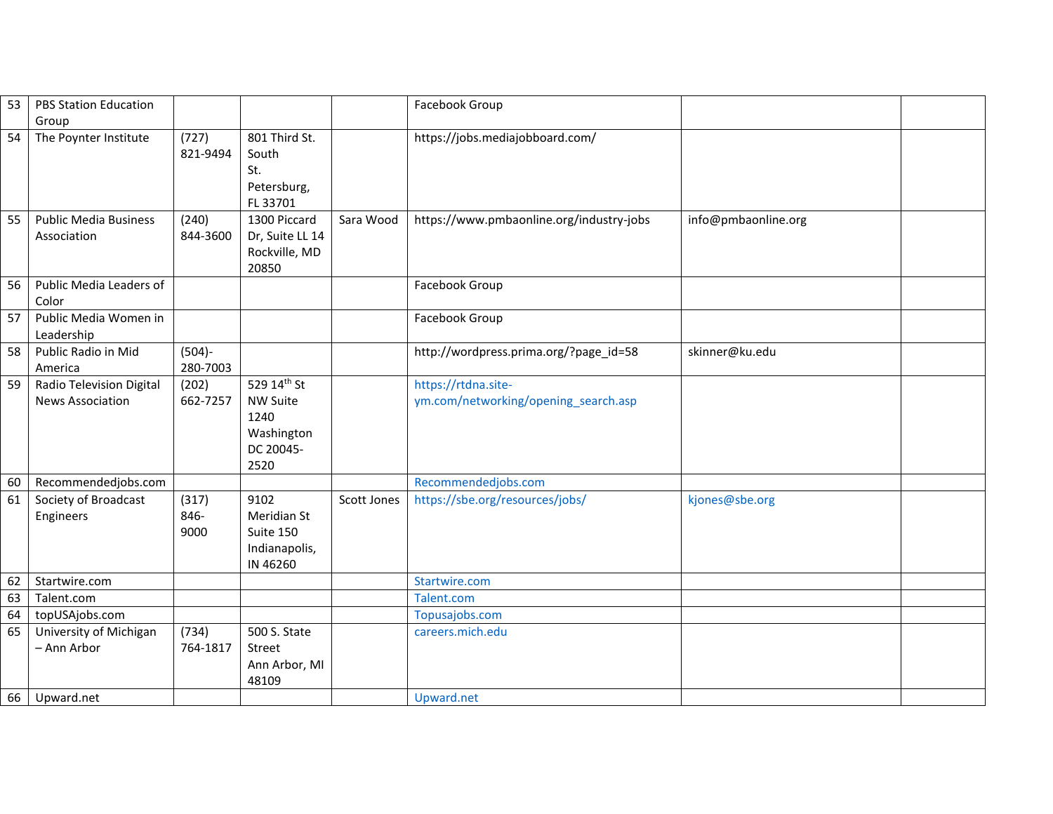| 53 | <b>PBS Station Education</b><br>Group               |                       |                                                                           |             | Facebook Group                                              |                     |  |
|----|-----------------------------------------------------|-----------------------|---------------------------------------------------------------------------|-------------|-------------------------------------------------------------|---------------------|--|
| 54 | The Poynter Institute                               | (727)<br>821-9494     | 801 Third St.<br>South<br>St.<br>Petersburg,<br>FL 33701                  |             | https://jobs.mediajobboard.com/                             |                     |  |
| 55 | <b>Public Media Business</b><br>Association         | (240)<br>844-3600     | 1300 Piccard<br>Dr, Suite LL 14<br>Rockville, MD<br>20850                 | Sara Wood   | https://www.pmbaonline.org/industry-jobs                    | info@pmbaonline.org |  |
| 56 | Public Media Leaders of<br>Color                    |                       |                                                                           |             | Facebook Group                                              |                     |  |
| 57 | Public Media Women in<br>Leadership                 |                       |                                                                           |             | Facebook Group                                              |                     |  |
| 58 | Public Radio in Mid<br>America                      | $(504) -$<br>280-7003 |                                                                           |             | http://wordpress.prima.org/?page_id=58                      | skinner@ku.edu      |  |
| 59 | Radio Television Digital<br><b>News Association</b> | (202)<br>662-7257     | 529 14th St<br><b>NW Suite</b><br>1240<br>Washington<br>DC 20045-<br>2520 |             | https://rtdna.site-<br>ym.com/networking/opening search.asp |                     |  |
| 60 | Recommendedjobs.com                                 |                       |                                                                           |             | Recommendedjobs.com                                         |                     |  |
| 61 | Society of Broadcast<br>Engineers                   | (317)<br>846-<br>9000 | 9102<br>Meridian St<br>Suite 150<br>Indianapolis,<br>IN 46260             | Scott Jones | https://sbe.org/resources/jobs/                             | kjones@sbe.org      |  |
| 62 | Startwire.com                                       |                       |                                                                           |             | Startwire.com                                               |                     |  |
| 63 | Talent.com                                          |                       |                                                                           |             | Talent.com                                                  |                     |  |
| 64 | topUSAjobs.com                                      |                       |                                                                           |             | Topusajobs.com                                              |                     |  |
| 65 | University of Michigan<br>- Ann Arbor               | (734)<br>764-1817     | 500 S. State<br>Street<br>Ann Arbor, MI<br>48109                          |             | careers.mich.edu                                            |                     |  |
| 66 | Upward.net                                          |                       |                                                                           |             | Upward.net                                                  |                     |  |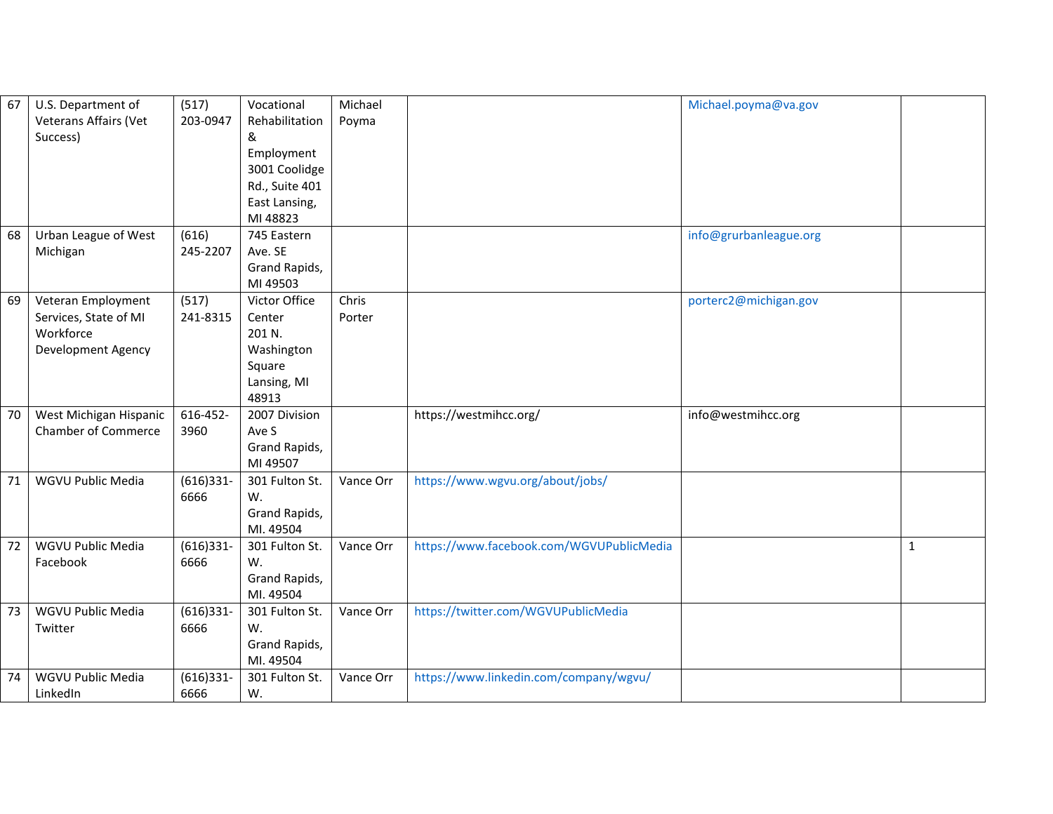| 67 | U.S. Department of         | (517)        | Vocational     | Michael   |                                          | Michael.poyma@va.gov   |              |
|----|----------------------------|--------------|----------------|-----------|------------------------------------------|------------------------|--------------|
|    | Veterans Affairs (Vet      | 203-0947     | Rehabilitation | Poyma     |                                          |                        |              |
|    | Success)                   |              | &              |           |                                          |                        |              |
|    |                            |              | Employment     |           |                                          |                        |              |
|    |                            |              | 3001 Coolidge  |           |                                          |                        |              |
|    |                            |              | Rd., Suite 401 |           |                                          |                        |              |
|    |                            |              | East Lansing,  |           |                                          |                        |              |
|    |                            |              | MI 48823       |           |                                          |                        |              |
| 68 | Urban League of West       | (616)        | 745 Eastern    |           |                                          | info@grurbanleague.org |              |
|    | Michigan                   | 245-2207     | Ave. SE        |           |                                          |                        |              |
|    |                            |              | Grand Rapids,  |           |                                          |                        |              |
|    |                            |              | MI 49503       |           |                                          |                        |              |
| 69 | Veteran Employment         | (517)        | Victor Office  | Chris     |                                          | porterc2@michigan.gov  |              |
|    | Services, State of MI      | 241-8315     | Center         | Porter    |                                          |                        |              |
|    | Workforce                  |              | 201 N.         |           |                                          |                        |              |
|    | Development Agency         |              | Washington     |           |                                          |                        |              |
|    |                            |              | Square         |           |                                          |                        |              |
|    |                            |              | Lansing, MI    |           |                                          |                        |              |
|    |                            |              | 48913          |           |                                          |                        |              |
| 70 | West Michigan Hispanic     | 616-452-     | 2007 Division  |           | https://westmihcc.org/                   | info@westmihcc.org     |              |
|    | <b>Chamber of Commerce</b> | 3960         | Ave S          |           |                                          |                        |              |
|    |                            |              | Grand Rapids,  |           |                                          |                        |              |
|    |                            |              | MI 49507       |           |                                          |                        |              |
| 71 | WGVU Public Media          | $(616)331 -$ | 301 Fulton St. | Vance Orr | https://www.wgvu.org/about/jobs/         |                        |              |
|    |                            | 6666         | W.             |           |                                          |                        |              |
|    |                            |              | Grand Rapids,  |           |                                          |                        |              |
|    |                            |              | MI. 49504      |           |                                          |                        |              |
| 72 | WGVU Public Media          | $(616)331 -$ | 301 Fulton St. | Vance Orr | https://www.facebook.com/WGVUPublicMedia |                        | $\mathbf{1}$ |
|    | Facebook                   | 6666         | W.             |           |                                          |                        |              |
|    |                            |              | Grand Rapids,  |           |                                          |                        |              |
|    |                            |              | MI. 49504      |           |                                          |                        |              |
| 73 | WGVU Public Media          | $(616)331 -$ | 301 Fulton St. | Vance Orr | https://twitter.com/WGVUPublicMedia      |                        |              |
|    | Twitter                    | 6666         | W.             |           |                                          |                        |              |
|    |                            |              | Grand Rapids,  |           |                                          |                        |              |
|    |                            |              | MI. 49504      |           |                                          |                        |              |
| 74 | WGVU Public Media          | $(616)331 -$ | 301 Fulton St. | Vance Orr | https://www.linkedin.com/company/wgvu/   |                        |              |
|    | LinkedIn                   | 6666         | W.             |           |                                          |                        |              |